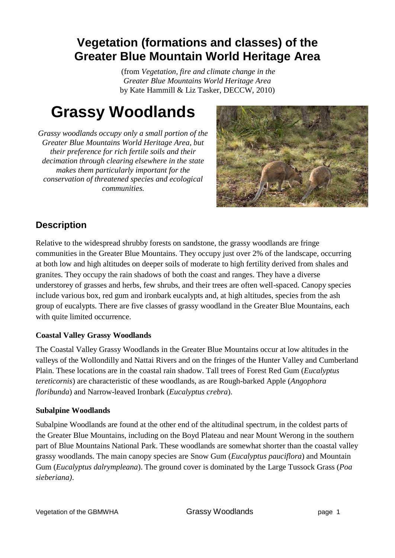## **Vegetation (formations and classes) of the Greater Blue Mountain World Heritage Area**

(from *Vegetation, fire and climate change in the Greater Blue Mountains World Heritage Area* by Kate Hammill & Liz Tasker, DECCW, 2010)

# **Grassy Woodlands**

*Grassy woodlands occupy only a small portion of the Greater Blue Mountains World Heritage Area, but their preference for rich fertile soils and their decimation through clearing elsewhere in the state makes them particularly important for the conservation of threatened species and ecological communities.*



### **Description**

Relative to the widespread shrubby forests on sandstone, the grassy woodlands are fringe communities in the Greater Blue Mountains. They occupy just over 2% of the landscape, occurring at both low and high altitudes on deeper soils of moderate to high fertility derived from shales and granites. They occupy the rain shadows of both the coast and ranges. They have a diverse understorey of grasses and herbs, few shrubs, and their trees are often well-spaced. Canopy species include various box, red gum and ironbark eucalypts and, at high altitudes, species from the ash group of eucalypts. There are five classes of grassy woodland in the Greater Blue Mountains, each with quite limited occurrence.

#### **Coastal Valley Grassy Woodlands**

The Coastal Valley Grassy Woodlands in the Greater Blue Mountains occur at low altitudes in the valleys of the Wollondilly and Nattai Rivers and on the fringes of the Hunter Valley and Cumberland Plain. These locations are in the coastal rain shadow. Tall trees of Forest Red Gum (*Eucalyptus tereticornis*) are characteristic of these woodlands, as are Rough-barked Apple (*Angophora floribunda*) and Narrow-leaved Ironbark (*Eucalyptus crebra*).

#### **Subalpine Woodlands**

Subalpine Woodlands are found at the other end of the altitudinal spectrum, in the coldest parts of the Greater Blue Mountains, including on the Boyd Plateau and near Mount Werong in the southern part of Blue Mountains National Park. These woodlands are somewhat shorter than the coastal valley grassy woodlands. The main canopy species are Snow Gum (*Eucalyptus pauciflora*) and Mountain Gum (*Eucalyptus dalrympleana*). The ground cover is dominated by the Large Tussock Grass (*Poa sieberiana)*.